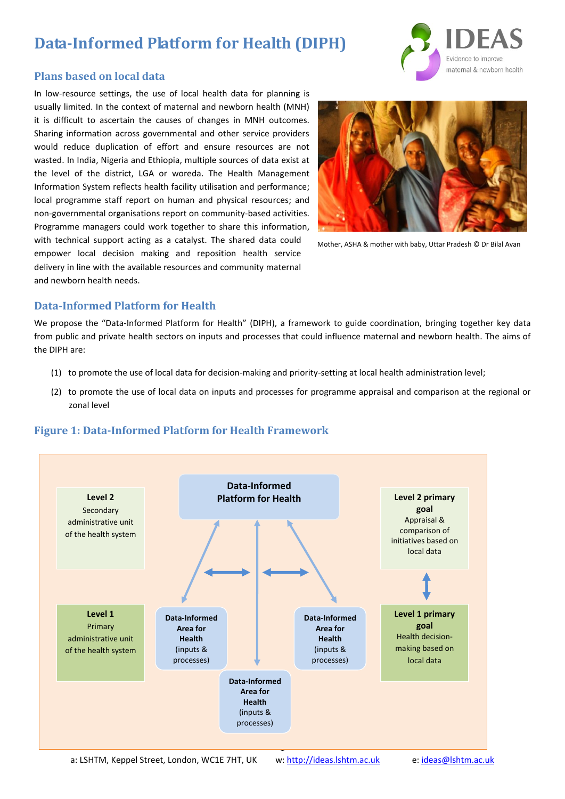# **Data-Informed Platform for Health (DIPH)**



### **Plans based on local data**

In low-resource settings, the use of local health data for planning is usually limited. In the context of maternal and newborn health (MNH) it is difficult to ascertain the causes of changes in MNH outcomes. Sharing information across governmental and other service providers would reduce duplication of effort and ensure resources are not wasted. In India, Nigeria and Ethiopia, multiple sources of data exist at the level of the district, LGA or woreda. The Health Management Information System reflects health facility utilisation and performance; local programme staff report on human and physical resources; and non-governmental organisations report on community-based activities. Programme managers could work together to share this information, with technical support acting as a catalyst. The shared data could empower local decision making and reposition health service delivery in line with the available resources and community maternal and newborn health needs.



Mother, ASHA & mother with baby, Uttar Pradesh © Dr Bilal Avan

## **Data-Informed Platform for Health**

We propose the "Data-Informed Platform for Health" (DIPH), a framework to guide coordination, bringing together key data from public and private health sectors on inputs and processes that could influence maternal and newborn health. The aims of the DIPH are:

- (1) to promote the use of local data for decision-making and priority-setting at local health administration level;
- (2) to promote the use of local data on inputs and processes for programme appraisal and comparison at the regional or zonal level



## **Figure 1: Data-Informed Platform for Health Framework**